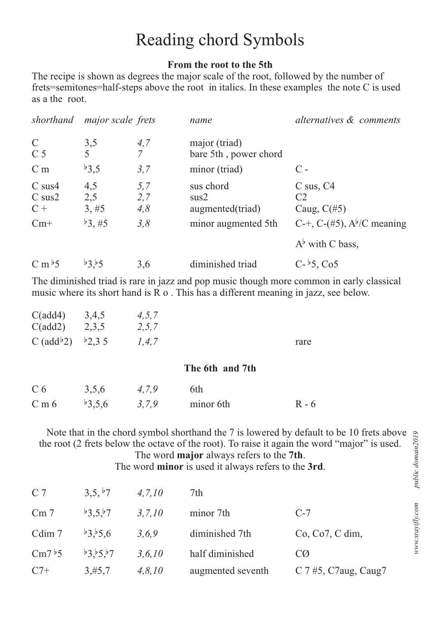## Reading chord Symbols

## **From the root to the 5th**

The recipe is shown as degrees the major scale of the root, followed by the number of frets=semitones=half-steps above the root in italics. In these examples the note C is used as a the root.

| shorthand                           | major scale frets   |                       | name                                   | alternatives & comments                                        |
|-------------------------------------|---------------------|-----------------------|----------------------------------------|----------------------------------------------------------------|
| $\mathcal{C}$<br>C <sub>5</sub>     | 3,5                 | 4,7<br>$\overline{7}$ | major (triad)<br>bare 5th, power chord |                                                                |
| C <sub>m</sub>                      | b3,5                | 3,7                   | minor (triad)                          | $\mathcal{C}$ -                                                |
| $C$ sus $4$<br>$C$ sus $2$<br>$C +$ | 4,5<br>2,5<br>3, #5 | 5,7<br>2,7<br>4,8     | sus chord<br>sus2<br>augmented(triad)  | $C$ sus, $C4$<br>C <sub>2</sub><br>Caug, $C(\#5)$              |
| $Cm+$                               | $b_3, \#5$          | 3,8                   | minor augmented 5th                    | C-+, C-(#5), $A^{\flat}/C$ meaning<br>$A^{\flat}$ with C bass, |
| $C m$ <sup>b</sup> 5                | b3.55               | 3,6                   | diminished triad                       | $C - 5$ , $C_05$                                               |

The diminished triad is rare in jazz and pop music though more common in early classical music where its short hand is R o . This has a different meaning in jazz, see below.

| C(add4)<br>C(add2)<br>C (add <sup>b</sup> 2) | 3,4,5<br>2,3,5<br>b2,35 | 4, 5, 7<br>2, 5, 7<br>1, 4, 7 |                 | rare    |
|----------------------------------------------|-------------------------|-------------------------------|-----------------|---------|
|                                              |                         |                               | The 6th and 7th |         |
| C <sub>6</sub>                               | 3,5,6                   | 4,7,9                         | 6th             |         |
| C <sub>m</sub> 6                             | b3,5,6                  | 3,7,9                         | minor 6th       | $R - 6$ |

 Note that in the chord symbol shorthand the 7 is lowered by default to be 10 frets above the root (2 frets below the octave of the root). To raise it again the word "major" is used. The word **major** always refers to the **7th**.

The word **minor** is used it always refers to the **3rd**.

| C <sub>7</sub>       | 3,5, b7  | 4, 7, 10 | 7th               |                         |
|----------------------|----------|----------|-------------------|-------------------------|
| Cm <sub>7</sub>      | b3,5, b7 | 3, 7, 10 | minor 7th         | $C-7$                   |
| Cdim 7               | b3.5.6   | 3,6,9    | diminished 7th    | Co, Co7, C dim,         |
| $\mathrm{Cm7}^{b}$ 5 | b3.55.57 | 3, 6, 10 | half diminished   | CØ                      |
| $C7+$                | 3,#5,7   | 4, 8, 10 | augmented seventh | C $7\#5$ , C7aug, Caug7 |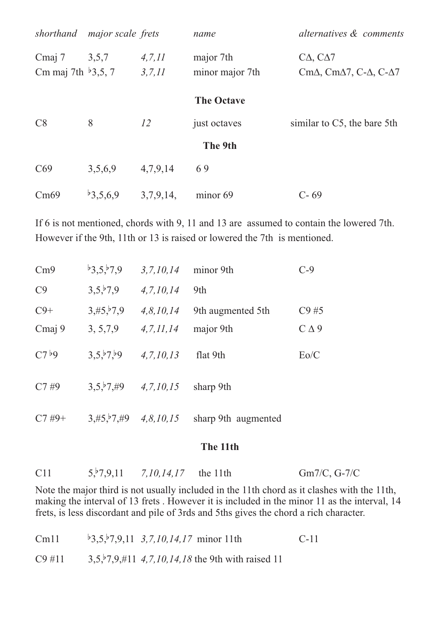| shorthand                       | <i>major scale frets</i> |           | name              | alternatives & comments                                  |
|---------------------------------|--------------------------|-----------|-------------------|----------------------------------------------------------|
| Cmaj 7                          | 3,5,7                    | 4, 7, 11  | major 7th         | $C\Delta$ , $C\Delta$ 7                                  |
| Cm maj 7th $\frac{1}{2}$ , 5, 7 |                          | 3, 7, 11  | minor major 7th   | Cm $\Delta$ , Cm $\Delta$ 7, C- $\Delta$ , C- $\Delta$ 7 |
|                                 |                          |           | <b>The Octave</b> |                                                          |
| C8                              | 8                        | 12        | just octaves      | similar to C5, the bare 5th                              |
|                                 |                          |           | The 9th           |                                                          |
| C69                             | 3,5,6,9                  | 4,7,9,14  | 69                |                                                          |
| Cm69                            | b3,5,6,9                 | 3,7,9,14, | minor 69          | $C - 69$                                                 |

If 6 is not mentioned, chords with 9, 11 and 13 are assumed to contain the lowered 7th. However if the 9th, 11th or 13 is raised or lowered the 7th is mentioned.

| Cm9               | b3,5, b7,9 | 3, 7, 10, 14 | minor 9th           | $C-9$                  |
|-------------------|------------|--------------|---------------------|------------------------|
| C9                | 3,5,5,7,9  | 4, 7, 10, 14 | 9th                 |                        |
| $C9+$             | 3,#5, 7, 9 | 4, 8, 10, 14 | 9th augmented 5th   | C9#5                   |
| Cmaj 9            | 3, 5, 7, 9 | 4, 7, 11, 14 | major 9th           | $C\Delta$ <sup>9</sup> |
| C7 <sup>b</sup> 9 | 3,5,5,7,59 | 4, 7, 10, 13 | flat 9th            | Eo/C                   |
| C7#9              | 3,5,5,7,49 | 4, 7, 10, 15 | sharp 9th           |                        |
| $C7#9+$           | 3,#5, 7,#9 | 4, 8, 10, 15 | sharp 9th augmented |                        |

## **The 11th**

| C11 | $5, 7, 9, 11$ 7, 10, 14, 17 the 11th | $Gm7/C$ , G-7/C |
|-----|--------------------------------------|-----------------|
|     |                                      |                 |

Note the major third is not usually included in the 11th chord as it clashes with the 11th, making the interval of 13 frets . However it is included in the minor 11 as the interval, 14 frets, is less discordant and pile of 3rds and 5ths gives the chord a rich character.

| Cm11      | $\frac{1}{2}$ , 5, $\frac{1}{2}$ , 9, 11 3, 7, 10, 14, 17 minor 11th | $C-11$ |
|-----------|----------------------------------------------------------------------|--------|
| $C9 \#11$ | $3,5,5,7,9,$ #11 4,7,10,14,18 the 9th with raised 11                 |        |